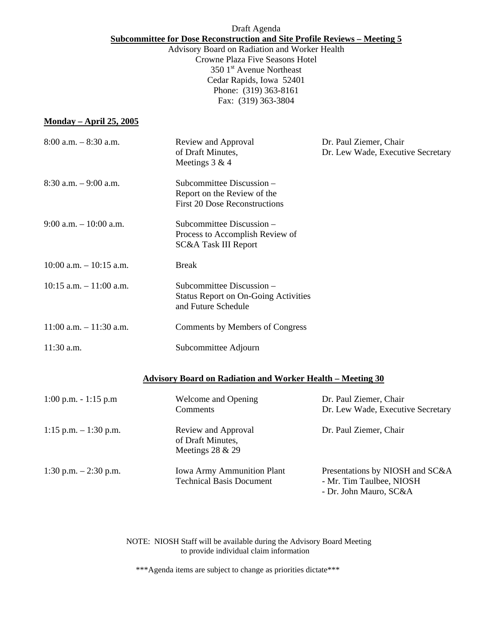# Draft Agenda **Subcommittee for Dose Reconstruction and Site Profile Reviews – Meeting 5**

Advisory Board on Radiation and Worker Health Crowne Plaza Five Seasons Hotel  $3501<sup>st</sup>$  Avenue Northeast Cedar Rapids, Iowa 52401 Phone: (319) 363-8161 Fax: (319) 363-3804

# **Monday – April 25, 2005**

| $8:00$ a.m. $-8:30$ a.m.                                          | Review and Approval<br>of Draft Minutes,<br>Meetings 3 & 4                                       | Dr. Paul Ziemer, Chair<br>Dr. Lew Wade, Executive Secretary |  |  |
|-------------------------------------------------------------------|--------------------------------------------------------------------------------------------------|-------------------------------------------------------------|--|--|
| $8:30$ a.m. $-9:00$ a.m.                                          | Subcommittee Discussion -<br>Report on the Review of the<br><b>First 20 Dose Reconstructions</b> |                                                             |  |  |
| $9:00$ a.m. $-10:00$ a.m.                                         | Subcommittee Discussion -<br>Process to Accomplish Review of<br><b>SC&amp;A Task III Report</b>  |                                                             |  |  |
| $10:00$ a.m. $-10:15$ a.m.                                        | <b>Break</b>                                                                                     |                                                             |  |  |
| $10:15$ a.m. $-11:00$ a.m.                                        | Subcommittee Discussion –<br><b>Status Report on On-Going Activities</b><br>and Future Schedule  |                                                             |  |  |
| $11:00$ a.m. $-11:30$ a.m.                                        | Comments by Members of Congress                                                                  |                                                             |  |  |
| 11:30 a.m.                                                        | Subcommittee Adjourn                                                                             |                                                             |  |  |
| <b>Advisory Board on Radiation and Worker Health - Meeting 30</b> |                                                                                                  |                                                             |  |  |
| $1:00$ p.m. $-1:15$ p.m                                           | Welcome and Opening<br>Comments                                                                  | Dr. Paul Ziemer, Chair<br>Dr. Lew Wade, Executive Secretary |  |  |
| $1:15$ p.m. $-1:30$ p.m.                                          | Review and Approval<br>of Draft Minutes,                                                         | Dr. Paul Ziemer, Chair                                      |  |  |

1:30 p.m. – 2:30 p.m. Iowa Army Ammunition Plant Presentations by NIOSH and SC&A Technical Basis Document - Mr. Tim Taulbee, NIOSH

Meetings 28 & 29

- Dr. John Mauro, SC&A

NOTE: NIOSH Staff will be available during the Advisory Board Meeting to provide individual claim information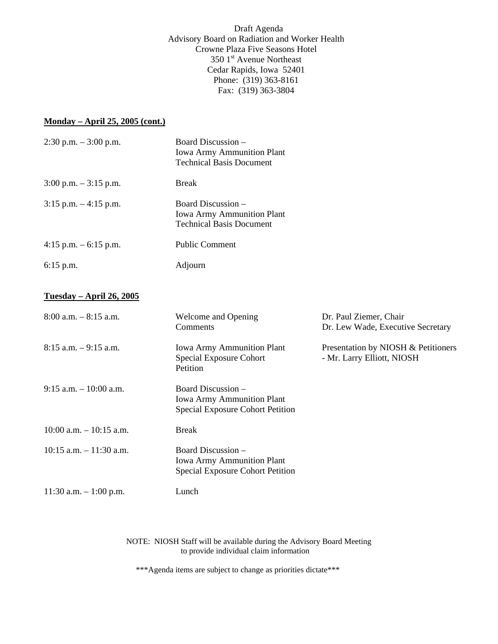Draft Agenda Advisory Board on Radiation and Worker Health Crowne Plaza Five Seasons Hotel 350 1<sup>st</sup> Avenue Northeast Cedar Rapids, Iowa 52401 Phone: (319) 363-8161 Fax: (319) 363-3804

# **Monday – April 25, 2005 (cont.)**

| $2:30$ p.m. $-3:00$ p.m.         | Board Discussion -<br><b>Iowa Army Ammunition Plant</b><br><b>Technical Basis Document</b>         |                                                                   |
|----------------------------------|----------------------------------------------------------------------------------------------------|-------------------------------------------------------------------|
| $3:00$ p.m. $-3:15$ p.m.         | <b>Break</b>                                                                                       |                                                                   |
| $3:15$ p.m. $-4:15$ p.m.         | Board Discussion -<br><b>Iowa Army Ammunition Plant</b><br><b>Technical Basis Document</b>         |                                                                   |
| 4:15 p.m. $-6:15$ p.m.           | <b>Public Comment</b>                                                                              |                                                                   |
| $6:15$ p.m.                      | Adjourn                                                                                            |                                                                   |
| <u> Tuesday – April 26, 2005</u> |                                                                                                    |                                                                   |
| $8:00$ a.m. $-8:15$ a.m.         | Welcome and Opening<br>Comments                                                                    | Dr. Paul Ziemer, Chair<br>Dr. Lew Wade, Executive Secretary       |
| $8:15$ a.m. $-9:15$ a.m.         | <b>Iowa Army Ammunition Plant</b><br><b>Special Exposure Cohort</b><br>Petition                    | Presentation by NIOSH & Petitioners<br>- Mr. Larry Elliott, NIOSH |
| $9:15$ a.m. $-10:00$ a.m.        | Board Discussion -<br><b>Iowa Army Ammunition Plant</b><br><b>Special Exposure Cohort Petition</b> |                                                                   |
| $10:00$ a.m. $-10:15$ a.m.       | <b>Break</b>                                                                                       |                                                                   |
| $10:15$ a.m. $-11:30$ a.m.       | Board Discussion –<br><b>Iowa Army Ammunition Plant</b><br><b>Special Exposure Cohort Petition</b> |                                                                   |
| 11:30 a.m. $-1:00$ p.m.          | Lunch                                                                                              |                                                                   |

NOTE: NIOSH Staff will be available during the Advisory Board Meeting to provide individual claim information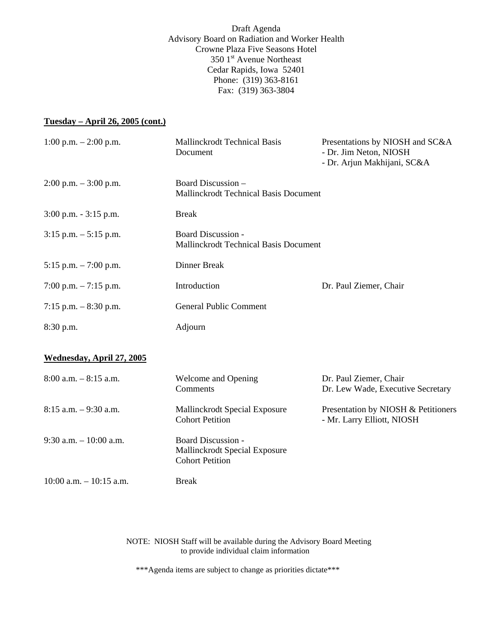Draft Agenda Advisory Board on Radiation and Worker Health Crowne Plaza Five Seasons Hotel 350 1<sup>st</sup> Avenue Northeast Cedar Rapids, Iowa 52401 Phone: (319) 363-8161 Fax: (319) 363-3804

# **Tuesday – April 26, 2005 (cont.)**

| 1:00 p.m. $- 2:00$ p.m.    | <b>Mallinckrodt Technical Basis</b><br>Document                                      | Presentations by NIOSH and SC&A<br>- Dr. Jim Neton, NIOSH<br>- Dr. Arjun Makhijani, SC&A |
|----------------------------|--------------------------------------------------------------------------------------|------------------------------------------------------------------------------------------|
| $2:00$ p.m. $-3:00$ p.m.   | Board Discussion -<br><b>Mallinckrodt Technical Basis Document</b>                   |                                                                                          |
| $3:00$ p.m. $-3:15$ p.m.   | <b>Break</b>                                                                         |                                                                                          |
| $3:15$ p.m. $-5:15$ p.m.   | <b>Board Discussion -</b><br>Mallinckrodt Technical Basis Document                   |                                                                                          |
| 5:15 p.m. $-7:00$ p.m.     | <b>Dinner Break</b>                                                                  |                                                                                          |
| 7:00 p.m. $-7:15$ p.m.     | Introduction                                                                         | Dr. Paul Ziemer, Chair                                                                   |
| 7:15 p.m. $-8:30$ p.m.     | <b>General Public Comment</b>                                                        |                                                                                          |
| 8:30 p.m.                  | Adjourn                                                                              |                                                                                          |
| Wednesday, April 27, 2005  |                                                                                      |                                                                                          |
| $8:00$ a.m. $-8:15$ a.m.   | Welcome and Opening<br>Comments                                                      | Dr. Paul Ziemer, Chair<br>Dr. Lew Wade, Executive Secretary                              |
| $8:15$ a.m. $-9:30$ a.m.   | Mallinckrodt Special Exposure<br><b>Cohort Petition</b>                              | Presentation by NIOSH & Petitioners<br>- Mr. Larry Elliott, NIOSH                        |
| $9:30$ a.m. $-10:00$ a.m.  | <b>Board Discussion -</b><br>Mallinckrodt Special Exposure<br><b>Cohort Petition</b> |                                                                                          |
| $10:00$ a.m. $-10:15$ a.m. | <b>Break</b>                                                                         |                                                                                          |

NOTE: NIOSH Staff will be available during the Advisory Board Meeting to provide individual claim information